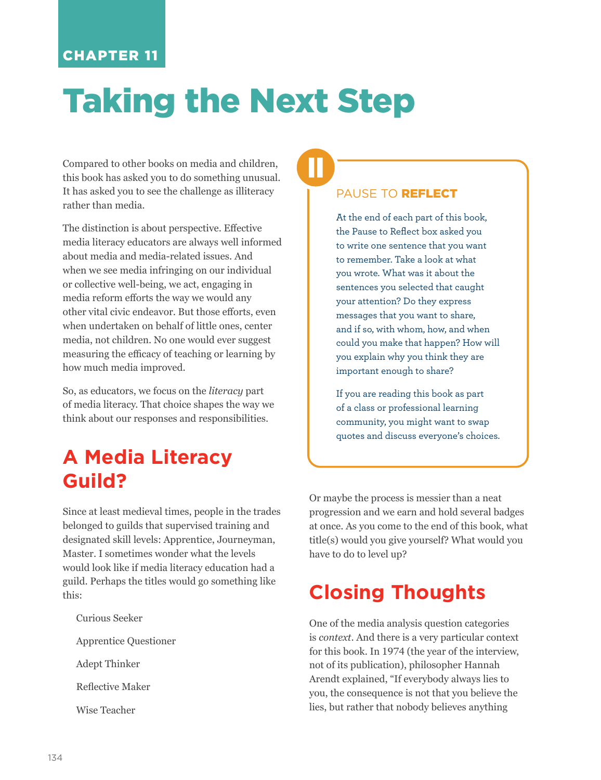### CHAPTER 11

# Taking the Next Step

Compared to other books on media and children, this book has asked you to do something unusual. It has asked you to see the challenge as illiteracy rather than media.

The distinction is about perspective. Effective media literacy educators are always well informed about media and media-related issues. And when we see media infringing on our individual or collective well-being, we act, engaging in media reform efforts the way we would any other vital civic endeavor. But those efforts, even when undertaken on behalf of little ones, center media, not children. No one would ever suggest measuring the efficacy of teaching or learning by how much media improved.

So, as educators, we focus on the *literacy* part of media literacy. That choice shapes the way we think about our responses and responsibilities.

## **A Media Literacy Guild?**

Since at least medieval times, people in the trades belonged to guilds that supervised training and designated skill levels: Apprentice, Journeyman, Master. I sometimes wonder what the levels would look like if media literacy education had a guild. Perhaps the titles would go something like this:

Curious Seeker Apprentice Questioner Adept Thinker Reflective Maker

Wise Teacher

#### PAUSE TO **REFLECT**

At the end of each part of this book, the Pause to Reflect box asked you to write one sentence that you want to remember. Take a look at what you wrote. What was it about the sentences you selected that caught your attention? Do they express messages that you want to share, and if so, with whom, how, and when could you make that happen? How will you explain why you think they are important enough to share?

If you are reading this book as part of a class or professional learning community, you might want to swap quotes and discuss everyone's choices.

Or maybe the process is messier than a neat progression and we earn and hold several badges at once. As you come to the end of this book, what title(s) would you give yourself? What would you have to do to level up?

## **Closing Thoughts**

One of the media analysis question categories is *context*. And there is a very particular context for this book. In 1974 (the year of the interview, not of its publication), philosopher Hannah Arendt explained, "If everybody always lies to you, the consequence is not that you believe the lies, but rather that nobody believes anything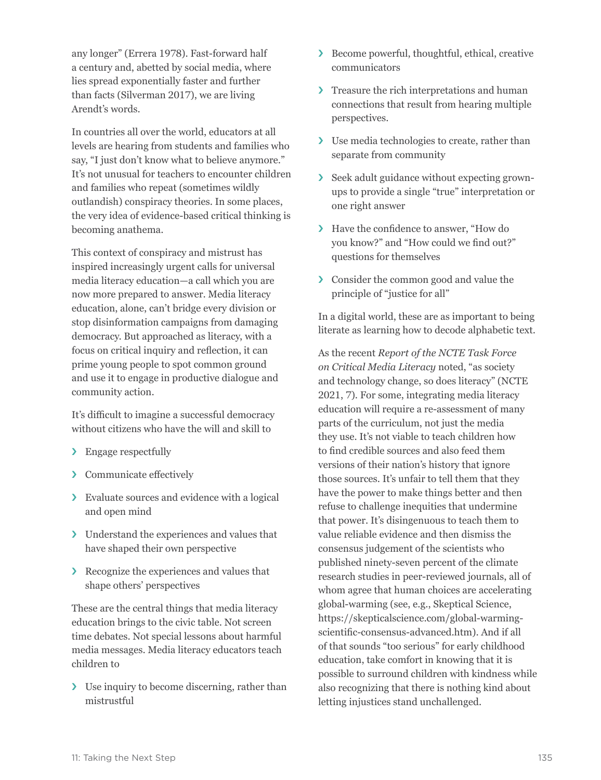any longer" (Errera 1978). Fast-forward half a century and, abetted by social media, where lies spread exponentially faster and further than facts (Silverman 2017), we are living Arendt's words.

In countries all over the world, educators at all levels are hearing from students and families who say, "I just don't know what to believe anymore." It's not unusual for teachers to encounter children and families who repeat (sometimes wildly outlandish) conspiracy theories. In some places, the very idea of evidence-based critical thinking is becoming anathema.

This context of conspiracy and mistrust has inspired increasingly urgent calls for universal media literacy education—a call which you are now more prepared to answer. Media literacy education, alone, can't bridge every division or stop disinformation campaigns from damaging democracy. But approached as literacy, with a focus on critical inquiry and reflection, it can prime young people to spot common ground and use it to engage in productive dialogue and community action.

It's difficult to imagine a successful democracy without citizens who have the will and skill to

- › Engage respectfully
- › Communicate effectively
- › Evaluate sources and evidence with a logical and open mind
- › Understand the experiences and values that have shaped their own perspective
- › Recognize the experiences and values that shape others' perspectives

These are the central things that media literacy education brings to the civic table. Not screen time debates. Not special lessons about harmful media messages. Media literacy educators teach children to

› Use inquiry to become discerning, rather than mistrustful

- › Become powerful, thoughtful, ethical, creative communicators
- › Treasure the rich interpretations and human connections that result from hearing multiple perspectives.
- › Use media technologies to create, rather than separate from community
- › Seek adult guidance without expecting grownups to provide a single "true" interpretation or one right answer
- › Have the confidence to answer, "How do you know?" and "How could we find out?" questions for themselves
- › Consider the common good and value the principle of "justice for all"

In a digital world, these are as important to being literate as learning how to decode alphabetic text.

As the recent *Report of the NCTE Task Force on Critical Media Literacy* noted, "as society and technology change, so does literacy" (NCTE 2021, 7). For some, integrating media literacy education will require a re-assessment of many parts of the curriculum, not just the media they use. It's not viable to teach children how to find credible sources and also feed them versions of their nation's history that ignore those sources. It's unfair to tell them that they have the power to make things better and then refuse to challenge inequities that undermine that power. It's disingenuous to teach them to value reliable evidence and then dismiss the consensus judgement of the scientists who published ninety-seven percent of the climate research studies in peer-reviewed journals, all of whom agree that human choices are accelerating global-warming (see, e.g., Skeptical Science, [https://skepticalscience.com/global-warming](https://skepticalscience.com/global-warming-scientific-consensus-advanced.htm)[scientific-consensus-advanced.htm](https://skepticalscience.com/global-warming-scientific-consensus-advanced.htm)). And if all of that sounds "too serious" for early childhood education, take comfort in knowing that it is possible to surround children with kindness while also recognizing that there is nothing kind about letting injustices stand unchallenged.